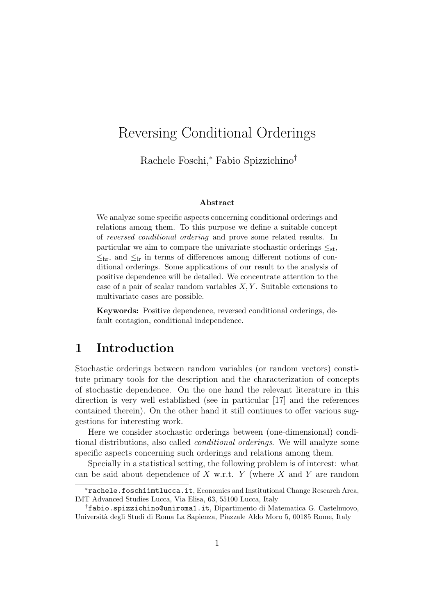# Reversing Conditional Orderings

Rachele Foschi,<sup>∗</sup> Fabio Spizzichino†

#### Abstract

We analyze some specific aspects concerning conditional orderings and relations among them. To this purpose we define a suitable concept of reversed conditional ordering and prove some related results. In particular we aim to compare the univariate stochastic orderings  $\leq_{st}$ ,  $\leq_{\rm hr}$ , and  $\leq_{\rm lr}$  in terms of differences among different notions of conditional orderings. Some applications of our result to the analysis of positive dependence will be detailed. We concentrate attention to the case of a pair of scalar random variables  $X, Y$ . Suitable extensions to multivariate cases are possible.

Keywords: Positive dependence, reversed conditional orderings, default contagion, conditional independence.

### 1 Introduction

Stochastic orderings between random variables (or random vectors) constitute primary tools for the description and the characterization of concepts of stochastic dependence. On the one hand the relevant literature in this direction is very well established (see in particular [17] and the references contained therein). On the other hand it still continues to offer various suggestions for interesting work.

Here we consider stochastic orderings between (one-dimensional) conditional distributions, also called conditional orderings. We will analyze some specific aspects concerning such orderings and relations among them.

Specially in a statistical setting, the following problem is of interest: what can be said about dependence of  $X$  w.r.t.  $Y$  (where  $X$  and  $Y$  are random

<sup>∗</sup>rachele.foschiimtlucca.it, Economics and Institutional Change Research Area, IMT Advanced Studies Lucca, Via Elisa, 63, 55100 Lucca, Italy

<sup>†</sup>fabio.spizzichino@uniroma1.it, Dipartimento di Matematica G. Castelnuovo, Universit`a degli Studi di Roma La Sapienza, Piazzale Aldo Moro 5, 00185 Rome, Italy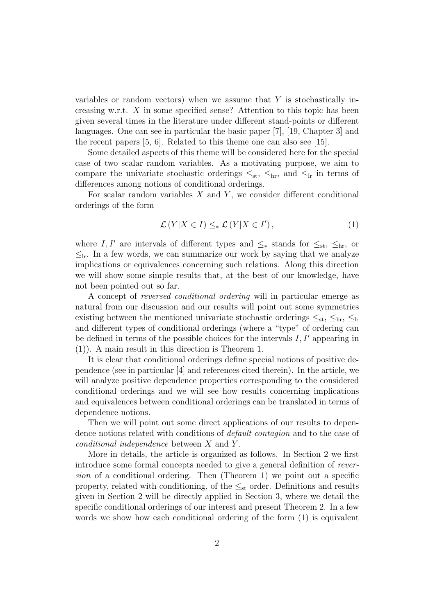variables or random vectors) when we assume that  $Y$  is stochastically increasing w.r.t. X in some specified sense? Attention to this topic has been given several times in the literature under different stand-points or different languages. One can see in particular the basic paper [7], [19, Chapter 3] and the recent papers [5, 6]. Related to this theme one can also see [15].

Some detailed aspects of this theme will be considered here for the special case of two scalar random variables. As a motivating purpose, we aim to compare the univariate stochastic orderings  $\leq_{st}$ ,  $\leq_{hr}$ , and  $\leq_{lr}$  in terms of differences among notions of conditional orderings.

For scalar random variables  $X$  and  $Y$ , we consider different conditional orderings of the form

$$
\mathcal{L}(Y|X \in I) \leq_* \mathcal{L}(Y|X \in I'),\tag{1}
$$

where I, I' are intervals of different types and  $\leq_*$  stands for  $\leq_{\text{st}}, \leq_{\text{hr}},$  or  $\leq_{\text{lr}}$ . In a few words, we can summarize our work by saying that we analyze implications or equivalences concerning such relations. Along this direction we will show some simple results that, at the best of our knowledge, have not been pointed out so far.

A concept of reversed conditional ordering will in particular emerge as natural from our discussion and our results will point out some symmetries existing between the mentioned univariate stochastic orderings  $\leq_{st}$ ,  $\leq_{hr}$ ,  $\leq_{lr}$ and different types of conditional orderings (where a "type" of ordering can be defined in terms of the possible choices for the intervals  $I, I'$  appearing in (1)). A main result in this direction is Theorem 1.

It is clear that conditional orderings define special notions of positive dependence (see in particular [4] and references cited therein). In the article, we will analyze positive dependence properties corresponding to the considered conditional orderings and we will see how results concerning implications and equivalences between conditional orderings can be translated in terms of dependence notions.

Then we will point out some direct applications of our results to dependence notions related with conditions of *default contagion* and to the case of conditional independence between X and Y .

More in details, the article is organized as follows. In Section 2 we first introduce some formal concepts needed to give a general definition of reversion of a conditional ordering. Then (Theorem 1) we point out a specific property, related with conditioning, of the  $\leq_{\text{st}}$  order. Definitions and results given in Section 2 will be directly applied in Section 3, where we detail the specific conditional orderings of our interest and present Theorem 2. In a few words we show how each conditional ordering of the form (1) is equivalent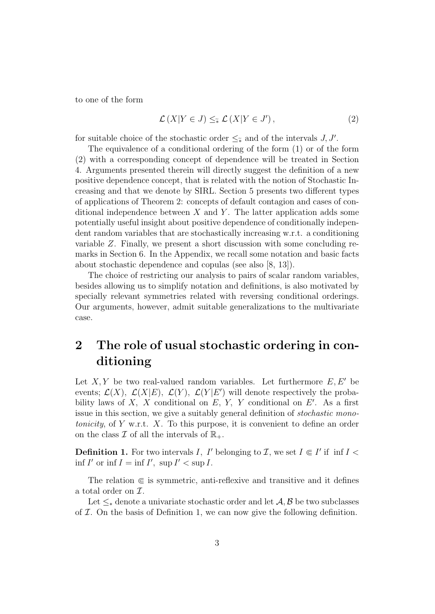to one of the form

$$
\mathcal{L}(X|Y \in J) \leq_{\tilde{\ast}} \mathcal{L}(X|Y \in J'), \tag{2}
$$

for suitable choice of the stochastic order  $\leq_{\tilde{\ast}}$  and of the intervals  $J, J'$ .

The equivalence of a conditional ordering of the form (1) or of the form (2) with a corresponding concept of dependence will be treated in Section 4. Arguments presented therein will directly suggest the definition of a new positive dependence concept, that is related with the notion of Stochastic Increasing and that we denote by SIRL. Section 5 presents two different types of applications of Theorem 2: concepts of default contagion and cases of conditional independence between  $X$  and  $Y$ . The latter application adds some potentially useful insight about positive dependence of conditionally independent random variables that are stochastically increasing w.r.t. a conditioning variable Z. Finally, we present a short discussion with some concluding remarks in Section 6. In the Appendix, we recall some notation and basic facts about stochastic dependence and copulas (see also [8, 13]).

The choice of restricting our analysis to pairs of scalar random variables, besides allowing us to simplify notation and definitions, is also motivated by specially relevant symmetries related with reversing conditional orderings. Our arguments, however, admit suitable generalizations to the multivariate case.

# 2 The role of usual stochastic ordering in conditioning

Let X, Y be two real-valued random variables. Let furthermore  $E, E'$  be events;  $\mathcal{L}(X)$ ,  $\mathcal{L}(X|E)$ ,  $\mathcal{L}(Y)$ ,  $\mathcal{L}(Y|E')$  will denote respectively the probability laws of X, X conditional on  $E$ , Y, Y conditional on  $E'$ . As a first issue in this section, we give a suitably general definition of stochastic monotonicity, of Y w.r.t.  $X$ . To this purpose, it is convenient to define an order on the class  $\mathcal I$  of all the intervals of  $\mathbb{R}_+$ .

**Definition 1.** For two intervals I, I' belonging to I, we set  $I \in I'$  if inf  $I <$  $\inf I'$  or  $\inf I = \inf I'$ ,  $\sup I' < \sup I$ .

The relation  $\epsilon$  is symmetric, anti-reflexive and transitive and it defines a total order on  $\mathcal{I}.$ 

Let  $\leq_*$  denote a univariate stochastic order and let  $\mathcal{A}, \mathcal{B}$  be two subclasses of  $I$ . On the basis of Definition 1, we can now give the following definition.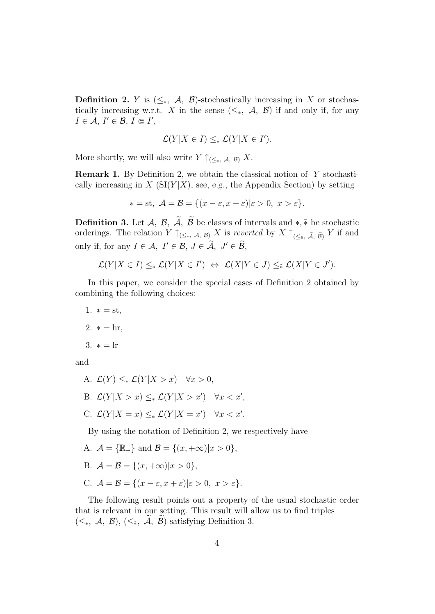**Definition 2.** Y is  $(\leq_*, \mathcal{A}, \mathcal{B})$ -stochastically increasing in X or stochastically increasing w.r.t. X in the sense  $(\leq_*, \mathcal{A}, \mathcal{B})$  if and only if, for any  $I \in \mathcal{A}, I' \in \mathcal{B}, I \Subset I',$ 

$$
\mathcal{L}(Y|X \in I) \leq_* \mathcal{L}(Y|X \in I').
$$

More shortly, we will also write  $Y \uparrow_{(\leq_*, \mathcal{A}, \mathcal{B})} X$ .

Remark 1. By Definition 2, we obtain the classical notion of Y stochastically increasing in  $X$  (SI(Y|X), see, e.g., the Appendix Section) by setting

$$
* = st, \mathcal{A} = \mathcal{B} = \{(x - \varepsilon, x + \varepsilon) | \varepsilon > 0, \ x > \varepsilon\}.
$$

**Definition 3.** Let  $\mathcal{A}, \mathcal{B}, \widetilde{\mathcal{A}}, \widetilde{\mathcal{B}}$  be classes of intervals and  $*, \widetilde{*}$  be stochastic orderings. The relation  $Y \uparrow_{(\leq_*, \mathcal{A}, \mathcal{B})} X$  is reverted by  $X \uparrow_{(\leq_* , \tilde{\mathcal{A}}, \tilde{\mathcal{B}})} Y$  if and only if, for any  $I \in \mathcal{A}, I' \in \mathcal{B}, J \in \widetilde{\mathcal{A}}, J' \in \widetilde{\mathcal{B}},$ 

$$
\mathcal{L}(Y|X \in I) \leq_* \mathcal{L}(Y|X \in I') \iff \mathcal{L}(X|Y \in J) \leq_* \mathcal{L}(X|Y \in J').
$$

In this paper, we consider the special cases of Definition 2 obtained by combining the following choices:

- 1.  $* = st$ ,
- 2.  $* = hr$ ,
- 3.  $* = lr$

and

A.  $\mathcal{L}(Y) \leq_* \mathcal{L}(Y | X > x)$   $\forall x > 0$ , B.  $\mathcal{L}(Y|X > x) \leq_* \mathcal{L}(Y|X > x') \quad \forall x < x',$ C.  $\mathcal{L}(Y|X=x) \leq_* \mathcal{L}(Y|X=x') \quad \forall x < x'.$ 

By using the notation of Definition 2, we respectively have

- A.  $\mathcal{A} = \{\mathbb{R}_+\}\$ and  $\mathcal{B} = \{(x, +\infty)|x > 0\},\$
- B.  $A = B = \{(x, +\infty) | x > 0 \},\$
- C.  $\mathcal{A} = \mathcal{B} = \{(x \varepsilon, x + \varepsilon) | \varepsilon > 0, x > \varepsilon\}.$

The following result points out a property of the usual stochastic order that is relevant in our setting. This result will allow us to find triples  $(\leq_*, \mathcal{A}, \mathcal{B}), (\leq_*, \widetilde{\mathcal{A}}, \widetilde{\mathcal{B}})$  satisfying Definition 3.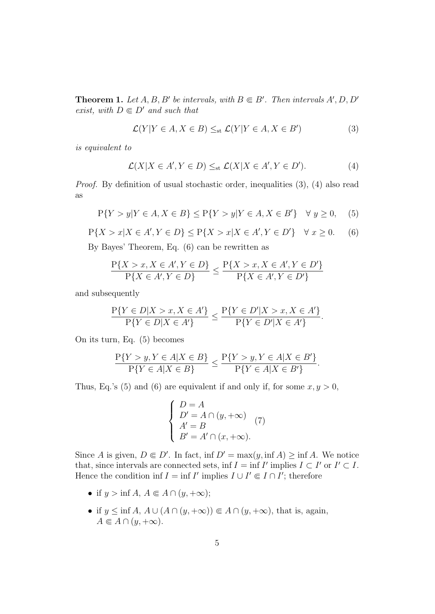**Theorem 1.** Let  $A, B, B'$  be intervals, with  $B \in B'$ . Then intervals  $A', D, D'$ exist, with  $D \in D'$  and such that

$$
\mathcal{L}(Y|Y \in A, X \in B) \leq_{st} \mathcal{L}(Y|Y \in A, X \in B')
$$
 (3)

is equivalent to

$$
\mathcal{L}(X|X \in A', Y \in D) \leq_{st} \mathcal{L}(X|X \in A', Y \in D'). \tag{4}
$$

Proof. By definition of usual stochastic order, inequalities (3), (4) also read as

$$
P{Y > y | Y \in A, X \in B} \le P{Y > y | Y \in A, X \in B'} \quad \forall y \ge 0,
$$
 (5)

$$
P\{X > x | X \in A', Y \in D\} \le P\{X > x | X \in A', Y \in D'\} \quad \forall x \ge 0. \tag{6}
$$

By Bayes' Theorem, Eq. (6) can be rewritten as

$$
\frac{P\{X > x, X \in A', Y \in D\}}{P\{X \in A', Y \in D\}} \le \frac{P\{X > x, X \in A', Y \in D'\}}{P\{X \in A', Y \in D'\}}
$$

and subsequently

$$
\frac{P\{Y \in D | X > x, X \in A'\}}{P\{Y \in D | X \in A'\}} \le \frac{P\{Y \in D' | X > x, X \in A'\}}{P\{Y \in D' | X \in A'\}}.
$$

On its turn, Eq. (5) becomes

$$
\frac{P\{Y > y, Y \in A | X \in B\}}{P\{Y \in A | X \in B\}} \le \frac{P\{Y > y, Y \in A | X \in B'\}}{P\{Y \in A | X \in B'\}}.
$$

Thus, Eq.'s (5) and (6) are equivalent if and only if, for some  $x, y > 0$ ,

$$
\begin{cases}\nD = A \\
D' = A \cap (y, +\infty) \\
A' = B \\
B' = A' \cap (x, +\infty).\n\end{cases}
$$
\n(7)

Since A is given,  $D \in D'$ . In fact, inf  $D' = \max(y, \inf A) \ge \inf A$ . We notice that, since intervals are connected sets, inf  $I = \inf I'$  implies  $I \subset I'$  or  $I' \subset I$ . Hence the condition inf  $I = \inf I'$  implies  $I \cup I' \in I \cap I'$ ; therefore

- if  $y > \inf A$ ,  $A \in A \cap (y, +\infty);$
- if  $y \leq \inf A$ ,  $A \cup (A \cap (y, +\infty)) \in A \cap (y, +\infty)$ , that is, again,  $A \in A \cap (y, +\infty).$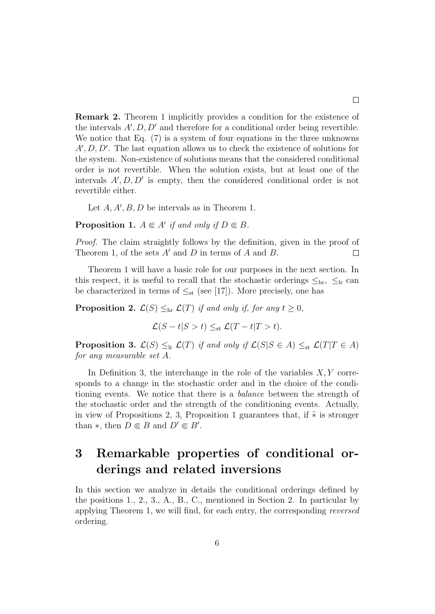Remark 2. Theorem 1 implicitly provides a condition for the existence of the intervals  $A', D, D'$  and therefore for a conditional order being revertible. We notice that Eq. (7) is a system of four equations in the three unknowns  $A', D, D'$ . The last equation allows us to check the existence of solutions for the system. Non-existence of solutions means that the considered conditional order is not revertible. When the solution exists, but at least one of the intervals  $A', D, D'$  is empty, then the considered conditional order is not revertible either.

Let  $A, A', B, D$  be intervals as in Theorem 1.

**Proposition 1.**  $A \in A'$  if and only if  $D \in B$ .

Proof. The claim straightly follows by the definition, given in the proof of Theorem 1, of the sets  $A'$  and D in terms of A and B.  $\Box$ 

Theorem 1 will have a basic role for our purposes in the next section. In this respect, it is useful to recall that the stochastic orderings  $\leq_{hr}$ ,  $\leq_{lr}$  can be characterized in terms of  $\leq_{st}$  (see [17]). More precisely, one has

**Proposition 2.**  $\mathcal{L}(S) \leq_{hr} \mathcal{L}(T)$  if and only if, for any  $t \geq 0$ ,

 $\mathcal{L}(S-t|S>t)\leq_{st}\mathcal{L}(T-t|T>t).$ 

**Proposition 3.**  $\mathcal{L}(S) \leq_{\text{lr}} \mathcal{L}(T)$  if and only if  $\mathcal{L}(S|S \in A) \leq_{\text{st}} \mathcal{L}(T|T \in A)$ for any measurable set A.

In Definition 3, the interchange in the role of the variables  $X, Y$  corresponds to a change in the stochastic order and in the choice of the conditioning events. We notice that there is a balance between the strength of the stochastic order and the strength of the conditioning events. Actually, in view of Propositions 2, 3, Proposition 1 guarantees that, if  $\tilde{*}$  is stronger than  $\ast$ , then  $D \in B$  and  $D' \in B'$ .

# 3 Remarkable properties of conditional orderings and related inversions

In this section we analyze in details the conditional orderings defined by the positions 1., 2., 3., A., B., C., mentioned in Section 2. In particular by applying Theorem 1, we will find, for each entry, the corresponding reversed ordering.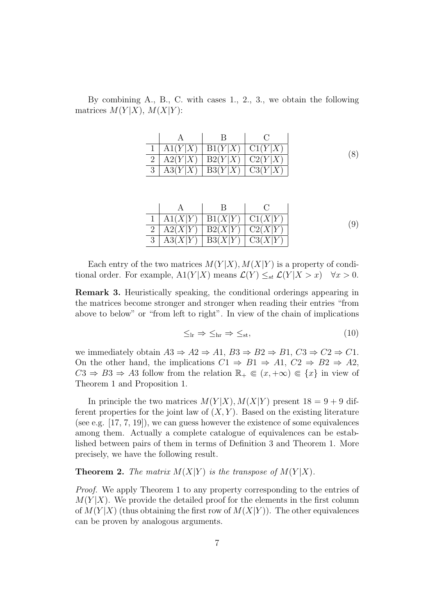By combining A., B., C. with cases 1., 2., 3., we obtain the following matrices  $M(Y|X)$ ,  $M(X|Y)$ :

| A1(Y X) | B1(Y X)                 | Cl(Y X) |
|---------|-------------------------|---------|
| A2(Y X) | $\perp$ B2(Y X) $\perp$ | C2(Y X) |
| A3(Y X) | B3(Y X)                 | C3(Y X) |

| A1(X Y) | B1(X Y) | C1(X Y) |
|---------|---------|---------|
| A2(X Y) | B2(X Y) | C2(X Y) |
| A3(X Y) | B3(X Y) | C3(X Y) |

Each entry of the two matrices  $M(Y|X)$ ,  $M(X|Y)$  is a property of conditional order. For example,  $A1(Y|X)$  means  $\mathcal{L}(Y) \leq_{st} \mathcal{L}(Y|X > x)$   $\forall x > 0$ .

Remark 3. Heuristically speaking, the conditional orderings appearing in the matrices become stronger and stronger when reading their entries "from above to below" or "from left to right". In view of the chain of implications

$$
\leq_{lr} \Rightarrow \leq_{hr} \Rightarrow \leq_{st},\tag{10}
$$

we immediately obtain  $A3 \Rightarrow A2 \Rightarrow A1, B3 \Rightarrow B2 \Rightarrow B1, C3 \Rightarrow C2 \Rightarrow C1$ . On the other hand, the implications  $C1 \Rightarrow B1 \Rightarrow A1, C2 \Rightarrow B2 \Rightarrow A2$ ,  $C3 \Rightarrow B3 \Rightarrow A3$  follow from the relation  $\mathbb{R}_+ \subseteq (x, +\infty) \subseteq \{x\}$  in view of Theorem 1 and Proposition 1.

In principle the two matrices  $M(Y|X)$ ,  $M(X|Y)$  present  $18 = 9 + 9$  different properties for the joint law of  $(X, Y)$ . Based on the existing literature (see e.g. [17, 7, 19]), we can guess however the existence of some equivalences among them. Actually a complete catalogue of equivalences can be established between pairs of them in terms of Definition 3 and Theorem 1. More precisely, we have the following result.

**Theorem 2.** The matrix  $M(X|Y)$  is the transpose of  $M(Y|X)$ .

Proof. We apply Theorem 1 to any property corresponding to the entries of  $M(Y|X)$ . We provide the detailed proof for the elements in the first column of  $M(Y|X)$  (thus obtaining the first row of  $M(X|Y)$ ). The other equivalences can be proven by analogous arguments.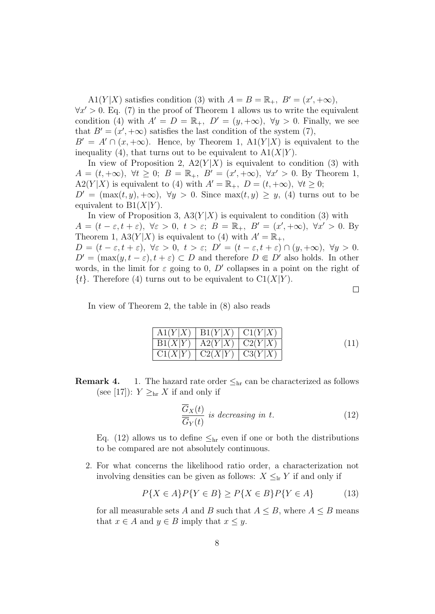A1(Y|X) satisfies condition (3) with  $A = B = \mathbb{R}_+$ ,  $B' = (x', +\infty)$ ,

 $\forall x' > 0$ . Eq. (7) in the proof of Theorem 1 allows us to write the equivalent condition (4) with  $A' = D = \mathbb{R}_+$ ,  $D' = (y, +\infty)$ ,  $\forall y > 0$ . Finally, we see that  $B' = (x', +\infty)$  satisfies the last condition of the system (7),

 $B' = A' \cap (x, +\infty)$ . Hence, by Theorem 1,  $\text{A1}(Y|X)$  is equivalent to the inequality (4), that turns out to be equivalent to  $A1(X|Y)$ .

In view of Proposition 2,  $A2(Y|X)$  is equivalent to condition (3) with  $A = (t, +\infty), \ \forall t \geq 0; \ B = \mathbb{R}_+, \ B' = (x', +\infty), \ \forall x' > 0.$  By Theorem 1, A2(Y|X) is equivalent to (4) with  $A' = \mathbb{R}_+$ ,  $D = (t, +\infty)$ ,  $\forall t \geq 0$ ;  $D' = (\max(t, y), +\infty), \ \forall y > 0.$  Since  $\max(t, y) \geq y$ , (4) turns out to be

equivalent to  $B1(X|Y)$ .

In view of Proposition 3,  $A3(Y|X)$  is equivalent to condition (3) with  $A = (t - \varepsilon, t + \varepsilon), \ \forall \varepsilon > 0, \ t > \varepsilon; \ B = \mathbb{R}_+, \ B' = (x', +\infty), \ \forall x' > 0. \text{ By}$ Theorem 1, A3 $(Y|X)$  is equivalent to (4) with  $A' = \mathbb{R}_+$ ,

 $D = (t - \varepsilon, t + \varepsilon), \ \forall \varepsilon > 0, \ t > \varepsilon; \ D' = (t - \varepsilon, t + \varepsilon) \cap (y, +\infty), \ \forall y > 0.$  $D' = (\max(y, t - \varepsilon), t + \varepsilon) \subset D$  and therefore  $D \in D'$  also holds. In other words, in the limit for  $\varepsilon$  going to 0, D' collapses in a point on the right of  $\{t\}$ . Therefore (4) turns out to be equivalent to  $Cl(X|Y)$ .

 $\Box$ 

In view of Theorem 2, the table in (8) also reads

| A1(Y X)   B1(Y X)   C1(Y X)       |  |
|-----------------------------------|--|
| $B1(X Y)$   $A2(Y X)$   $C2(Y X)$ |  |
| $C1(X Y)$ $C2(X Y)$ $C3(Y X)$     |  |

**Remark 4.** 1. The hazard rate order  $\leq_{\text{hr}}$  can be characterized as follows (see [17]):  $Y \geq_{hr} X$  if and only if

$$
\frac{\overline{G}_X(t)}{\overline{G}_Y(t)}
$$
 is decreasing in t. (12)

Eq. (12) allows us to define  $\leq_{\text{hr}}$  even if one or both the distributions to be compared are not absolutely continuous.

2. For what concerns the likelihood ratio order, a characterization not involving densities can be given as follows:  $X \leq_{\text{lr}} Y$  if and only if

$$
P\{X \in A\}P\{Y \in B\} \ge P\{X \in B\}P\{Y \in A\} \tag{13}
$$

for all measurable sets A and B such that  $A \leq B$ , where  $A \leq B$  means that  $x \in A$  and  $y \in B$  imply that  $x \leq y$ .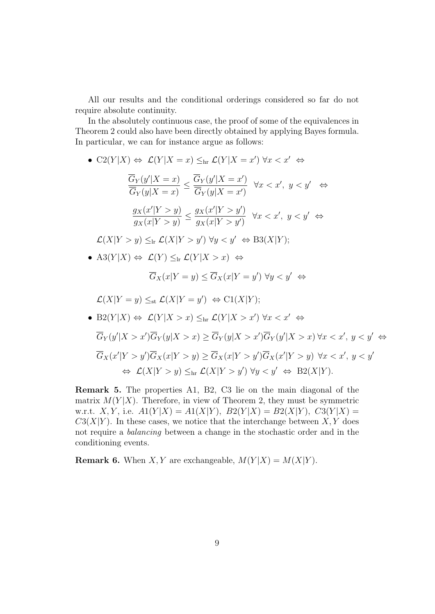All our results and the conditional orderings considered so far do not require absolute continuity.

In the absolutely continuous case, the proof of some of the equivalences in Theorem 2 could also have been directly obtained by applying Bayes formula. In particular, we can for instance argue as follows:

•  $C2(Y|X) \Leftrightarrow \mathcal{L}(Y|X=x) \leq_{hr} \mathcal{L}(Y|X=x') \ \forall x < x' \Leftrightarrow$ 

$$
\frac{\overline{G}_Y(y'|X=x)}{\overline{G}_Y(y|X=x)} \le \frac{\overline{G}_Y(y'|X=x')}{\overline{G}_Y(y|X=x')} \quad \forall x < x', \ y < y' \quad \Leftrightarrow
$$
\n
$$
\frac{g_X(x'|Y>y)}{g_X(x|Y>y)} \le \frac{g_X(x'|Y>y')}{g_X(x|Y>y')} \quad \forall x < x', \ y < y' \quad \Leftrightarrow
$$

 $\mathcal{L}(X|Y>y) \leq_{\text{lr}} \mathcal{L}(X|Y>y') \ \forall y < y' \Leftrightarrow \text{B3}(X|Y);$ 

• A3 $(Y|X) \Leftrightarrow \mathcal{L}(Y) \leq_{\text{lr}} \mathcal{L}(Y|X > x) \Leftrightarrow$ 

$$
\overline{G}_X(x|Y=y) \le \overline{G}_X(x|Y=y') \,\,\forall y < y' \,\, \Leftrightarrow
$$

$$
\mathcal{L}(X|Y=y) \leq_{\text{st}} \mathcal{L}(X|Y=y') \iff \text{C1}(X|Y);
$$

• 
$$
B2(Y|X) \Leftrightarrow \mathcal{L}(Y|X > x) \leq_{hr} \mathcal{L}(Y|X > x') \forall x < x' \Leftrightarrow
$$
  
\n
$$
\overline{G}_Y(y'|X > x')\overline{G}_Y(y|X > x) \geq \overline{G}_Y(y|X > x')\overline{G}_Y(y'|X > x) \forall x < x', y < y' \Leftrightarrow
$$
  
\n
$$
\overline{G}_X(x'|Y > y')\overline{G}_X(x|Y > y) \geq \overline{G}_X(x|Y > y')\overline{G}_X(x'|Y > y) \forall x < x', y < y'
$$
  
\n
$$
\Leftrightarrow \mathcal{L}(X|Y > y) \leq_{hr} \mathcal{L}(X|Y > y') \forall y < y' \Leftrightarrow B2(X|Y).
$$

Remark 5. The properties A1, B2, C3 lie on the main diagonal of the matrix  $M(Y|X)$ . Therefore, in view of Theorem 2, they must be symmetric w.r.t. X, Y, i.e.  $A1(Y|X) = A1(X|Y)$ ,  $B2(Y|X) = B2(X|Y)$ ,  $C3(Y|X) =$  $C3(X|Y)$ . In these cases, we notice that the interchange between X, Y does not require a balancing between a change in the stochastic order and in the conditioning events.

**Remark 6.** When X, Y are exchangeable,  $M(Y|X) = M(X|Y)$ .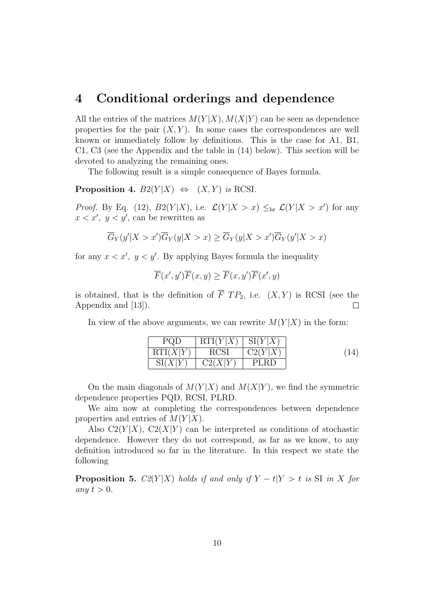### 4 Conditional orderings and dependence

All the entries of the matrices  $M(Y|X)$ ,  $M(X|Y)$  can be seen as dependence properties for the pair  $(X, Y)$ . In some cases the correspondences are well known or immediately follow by definitions. This is the case for A1, B1, C1, C3 (see the Appendix and the table in (14) below). This section will be devoted to analyzing the remaining ones.

The following result is a simple consequence of Bayes formula.

**Proposition 4.**  $B2(Y|X) \Leftrightarrow (X, Y)$  is RCSI.

*Proof.* By Eq. (12),  $B2(Y|X)$ , i.e.  $\mathcal{L}(Y|X > x) \leq_{hr} \mathcal{L}(Y|X > x')$  for any  $x < x'$ ,  $y < y'$ , can be rewritten as

$$
\overline{G}_Y(y'|X > x')\overline{G}_Y(y|X > x) \ge \overline{G}_Y(y|X > x')\overline{G}_Y(y'|X > x)
$$

for any  $x < x'$ ,  $y < y'$ . By applying Bayes formula the inequality

$$
\overline{F}(x',y')\overline{F}(x,y) \ge \overline{F}(x,y')\overline{F}(x',y)
$$

is obtained, that is the definition of  $\overline{F}$   $TP_2$ , i.e.  $(X, Y)$  is RCSI (see the Appendix and [13]).  $\Box$ 

In view of the above arguments, we can rewrite  $M(Y|X)$  in the form:

| PQD      | RTI(Y X)           | $\mathrm{SI}(Y X)$ |  |
|----------|--------------------|--------------------|--|
| RTI(X Y) | <b>RCSI</b>        | C2(Y X)            |  |
| SI(X Y)  | $\mathrm{C2}(X Y)$ | PLRD               |  |

On the main diagonals of  $M(Y|X)$  and  $M(X|Y)$ , we find the symmetric dependence properties PQD, RCSI, PLRD.

We aim now at completing the correspondences between dependence properties and entries of  $M(Y|X)$ .

Also  $C2(Y|X)$ ,  $C2(X|Y)$  can be interpreted as conditions of stochastic dependence. However they do not correspond, as far as we know, to any definition introduced so far in the literature. In this respect we state the following

**Proposition 5.**  $C2(Y|X)$  holds if and only if  $Y - t|Y > t$  is SI in X for any  $t > 0$ .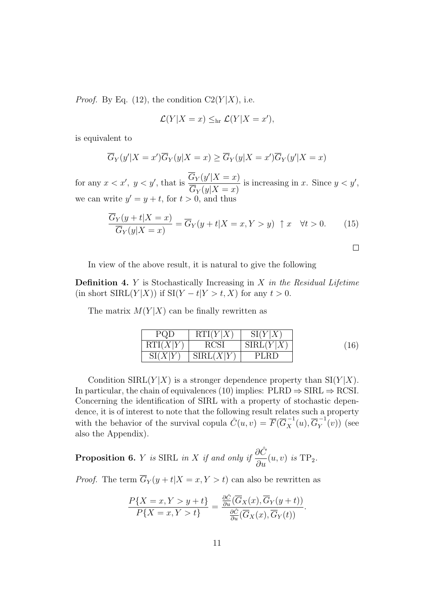*Proof.* By Eq. (12), the condition  $C2(Y|X)$ , i.e.

$$
\mathcal{L}(Y|X=x) \leq_{\text{hr}} \mathcal{L}(Y|X=x'),
$$

is equivalent to

$$
\overline{G}_Y(y'|X=x')\overline{G}_Y(y|X=x) \ge \overline{G}_Y(y|X=x')\overline{G}_Y(y'|X=x)
$$

for any  $x < x'$ ,  $y < y'$ , that is  $\frac{\overline{G}_Y(y'|X=x)}{\overline{G}_Y(x|X=x)}$  $G_Y(y|X=x)$ is increasing in x. Since  $y < y'$ , we can write  $y' = y + t$ , for  $t > 0$ , and thus

$$
\frac{\overline{G}_Y(y+t|X=x)}{\overline{G}_Y(y|X=x)} = \overline{G}_Y(y+t|X=x,Y>y) \quad \uparrow x \quad \forall t > 0. \tag{15}
$$

$$
\sqcup
$$

In view of the above result, it is natural to give the following

**Definition 4.**  $Y$  is Stochastically Increasing in  $X$  in the Residual Lifetime (in short  $SIRL(Y|X)$ ) if  $SI(Y-t|Y>t, X)$  for any  $t > 0$ .

The matrix  $M(Y|X)$  can be finally rewritten as

| PQD      | RTI(Y X) | $\mathrm{SI}(Y X)$                                       |    |
|----------|----------|----------------------------------------------------------|----|
| RTI(X Y) | RCS)     | $\mathcal{S} \text{IRL}(Y^{\scriptscriptstyle \dagger})$ | 1C |
| SI(      | SIRL(    | PLRD                                                     |    |

Condition SIRL( $Y|X$ ) is a stronger dependence property than SI( $Y|X$ ). In particular, the chain of equivalences (10) implies:  $PLRD \Rightarrow SIRL \Rightarrow RCSI$ . Concerning the identification of SIRL with a property of stochastic dependence, it is of interest to note that the following result relates such a property with the behavior of the survival copula  $\hat{C}(u, v) = \overline{F}(\overline{G}_X^{-1}(u), \overline{G}_Y^{-1}$  $\binom{r}{Y}(v)$  (see also the Appendix).

**Proposition 6.** *Y* is SIRL in *X* if and only if  $\frac{\partial \hat{C}}{\partial \hat{C}}$  $\frac{\partial}{\partial u}(u, v)$  is TP<sub>2</sub>.

*Proof.* The term  $\overline{G}_Y(y+t|X=x, Y>t)$  can also be rewritten as

$$
\frac{P\{X=x,Y>y+t\}}{P\{X=x,Y>t\}} = \frac{\frac{\partial \hat{C}}{\partial u}(\overline{G}_X(x),\overline{G}_Y(y+t))}{\frac{\partial \hat{C}}{\partial u}(\overline{G}_X(x),\overline{G}_Y(t))}.
$$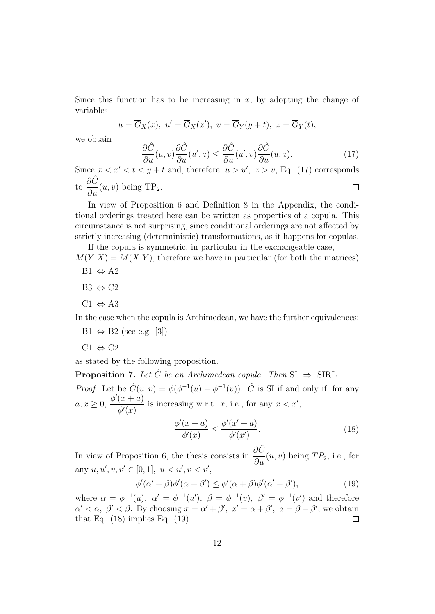Since this function has to be increasing in  $x$ , by adopting the change of variables

$$
u = \overline{G}_X(x), \ u' = \overline{G}_X(x'), \ v = \overline{G}_Y(y+t), \ z = \overline{G}_Y(t),
$$

we obtain

$$
\frac{\partial \hat{C}}{\partial u}(u,v)\frac{\partial \hat{C}}{\partial u}(u',z) \le \frac{\partial \hat{C}}{\partial u}(u',v)\frac{\partial \hat{C}}{\partial u}(u,z). \tag{17}
$$

Since  $x < x' < t < y + t$  and, therefore,  $u > u'$ ,  $z > v$ , Eq. (17) corresponds ∂Ĉ  $\Box$ to  $\frac{\partial \mathcal{O}}{\partial u}(u, v)$  being TP<sub>2</sub>.

In view of Proposition 6 and Definition 8 in the Appendix, the conditional orderings treated here can be written as properties of a copula. This circumstance is not surprising, since conditional orderings are not affected by strictly increasing (deterministic) transformations, as it happens for copulas.

If the copula is symmetric, in particular in the exchangeable case,  $M(Y|X) = M(X|Y)$ , therefore we have in particular (for both the matrices)

- $B1 \Leftrightarrow A2$
- $B3 \Leftrightarrow C2$
- $C1 \Leftrightarrow A3$

In the case when the copula is Archimedean, we have the further equivalences:

- $B1 \Leftrightarrow B2$  (see e.g. [3])
- $C1 \Leftrightarrow C2$

as stated by the following proposition.

**Proposition 7.** Let  $\hat{C}$  be an Archimedean copula. Then  $SI \Rightarrow SHRL$ . *Proof.* Let be  $\hat{C}(u, v) = \phi(\phi^{-1}(u) + \phi^{-1}(v))$ .  $\hat{C}$  is SI if and only if, for any  $a, x \geq 0, \frac{\phi'(x+a)}{\phi(x)}$  $\phi'(x)$ is increasing w.r.t. x, i.e., for any  $x < x'$ ,

$$
\frac{\phi'(x+a)}{\phi'(x)} \le \frac{\phi'(x'+a)}{\phi'(x')}.\tag{18}
$$

In view of Proposition 6, the thesis consists in  $\frac{\partial \hat{C}}{\partial \hat{C}}$  $\frac{\partial C}{\partial u}(u, v)$  being  $TP_2$ , i.e., for any  $u, u', v, v' \in [0, 1], u < u', v < v'$ ,

$$
\phi'(\alpha' + \beta)\phi'(\alpha + \beta') \le \phi'(\alpha + \beta)\phi'(\alpha' + \beta'),\tag{19}
$$

where  $\alpha = \phi^{-1}(u)$ ,  $\alpha' = \phi^{-1}(u')$ ,  $\beta = \phi^{-1}(v)$ ,  $\beta' = \phi^{-1}(v')$  and therefore  $\alpha' < \alpha, \ \beta' < \beta$ . By choosing  $x = \alpha' + \beta', \ x' = \alpha + \beta', \ a = \beta - \beta'$ , we obtain that Eq.  $(18)$  implies Eq.  $(19)$ .  $\Box$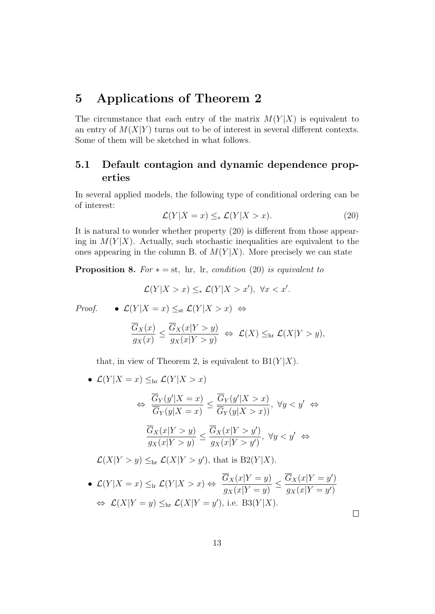## 5 Applications of Theorem 2

The circumstance that each entry of the matrix  $M(Y|X)$  is equivalent to an entry of  $M(X|Y)$  turns out to be of interest in several different contexts. Some of them will be sketched in what follows.

#### 5.1 Default contagion and dynamic dependence properties

In several applied models, the following type of conditional ordering can be of interest:

$$
\mathcal{L}(Y|X=x) \leq_* \mathcal{L}(Y|X>x). \tag{20}
$$

It is natural to wonder whether property (20) is different from those appearing in  $M(Y|X)$ . Actually, such stochastic inequalities are equivalent to the ones appearing in the column B. of  $M(Y|X)$ . More precisely we can state

**Proposition 8.** For  $* = st$ , hr, lr, condition (20) is equivalent to

$$
\mathcal{L}(Y|X>x)\leq_*\mathcal{L}(Y|X>x'),\ \forall x
$$

*Proof.* •  $\mathcal{L}(Y|X=x) \leq_{st} \mathcal{L}(Y|X>x)$  ⇔

$$
\frac{\overline{G}_X(x)}{g_X(x)} \le \frac{\overline{G}_X(x|Y>y)}{g_X(x|Y>y)} \iff \mathcal{L}(X) \le_{\text{hr}} \mathcal{L}(X|Y>y),
$$

that, in view of Theorem 2, is equivalent to  $B1(Y|X)$ .

$$
\mathcal{L}(Y|X = x) \leq_{\text{hr}} \mathcal{L}(Y|X > x)
$$
\n
$$
\Leftrightarrow \frac{\overline{G}_Y(y'|X = x)}{\overline{G}_Y(y|X = x)} \leq \frac{\overline{G}_Y(y'|X > x)}{\overline{G}_Y(y|X > x)}, \ \forall y < y' \Leftrightarrow
$$
\n
$$
\frac{\overline{G}_X(x|Y > y)}{g_X(x|Y > y)} \leq \frac{\overline{G}_X(x|Y > y')}{g_X(x|Y > y')}, \ \forall y < y' \Leftrightarrow
$$

 $\mathcal{L}(X|Y>y) \leq_{\text{hr}} \mathcal{L}(X|Y>y')$ , that is  $B2(Y|X)$ .

• 
$$
\mathcal{L}(Y|X = x) \leq_{\text{lr}} \mathcal{L}(Y|X > x) \Leftrightarrow \frac{\overline{G}_X(x|Y = y)}{g_X(x|Y = y)} \leq \frac{\overline{G}_X(x|Y = y')}{g_X(x|Y = y')}
$$
  
\n $\Leftrightarrow \mathcal{L}(X|Y = y) \leq_{\text{hr}} \mathcal{L}(X|Y = y'), \text{ i.e. } B3(Y|X).$ 

 $\Box$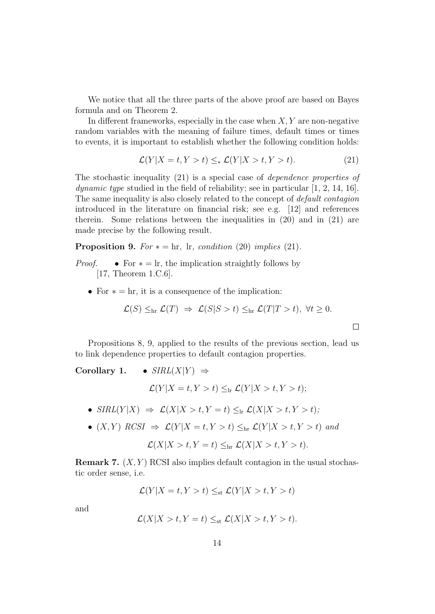We notice that all the three parts of the above proof are based on Bayes formula and on Theorem 2.

In different frameworks, especially in the case when  $X, Y$  are non-negative random variables with the meaning of failure times, default times or times to events, it is important to establish whether the following condition holds:

$$
\mathcal{L}(Y|X=t, Y>t) \leq_* \mathcal{L}(Y|X>t, Y>t). \tag{21}
$$

The stochastic inequality (21) is a special case of dependence properties of *dynamic type* studied in the field of reliability; see in particular  $[1, 2, 14, 16]$ . The same inequality is also closely related to the concept of default contagion introduced in the literature on financial risk; see e.g. [12] and references therein. Some relations between the inequalities in (20) and in (21) are made precise by the following result.

**Proposition 9.** For  $* = \text{hr}$ , Ir, condition (20) implies (21).

- *Proof.* For  $* = \text{lr}$ , the implication straightly follows by [17, Theorem 1.C.6].
	- For  $* = \text{hr}$ , it is a consequence of the implication:

$$
\mathcal{L}(S) \leq_{\text{hr}} \mathcal{L}(T) \Rightarrow \mathcal{L}(S|S>t) \leq_{\text{hr}} \mathcal{L}(T|T>t), \ \forall t \geq 0.
$$

 $\Box$ 

Propositions 8, 9, applied to the results of the previous section, lead us to link dependence properties to default contagion properties.

Corollary 1. • 
$$
SIRL(X|Y) \Rightarrow
$$
  
\n
$$
\mathcal{L}(Y|X = t, Y > t) \leq_{\text{lr}} \mathcal{L}(Y|X > t, Y > t);
$$
\n•  $SIRL(Y|X) \Rightarrow \mathcal{L}(X|X > t, Y = t) \leq_{\text{lr}} \mathcal{L}(X|X > t, Y > t);$ 

•  $(X, Y)$  RCSI  $\Rightarrow$   $\mathcal{L}(Y | X = t, Y > t) \leq_{hr} \mathcal{L}(Y | X > t, Y > t)$  and

$$
\mathcal{L}(X|X>t,Y=t)\leq_{\text{hr}}\mathcal{L}(X|X>t,Y>t).
$$

**Remark 7.**  $(X, Y)$  RCSI also implies default contagion in the usual stochastic order sense, i.e.

$$
\mathcal{L}(Y|X = t, Y > t) \leq_{st} \mathcal{L}(Y|X > t, Y > t)
$$

and

$$
\mathcal{L}(X|X>t,Y=t)\leq_{\rm st}\mathcal{L}(X|X>t,Y>t).
$$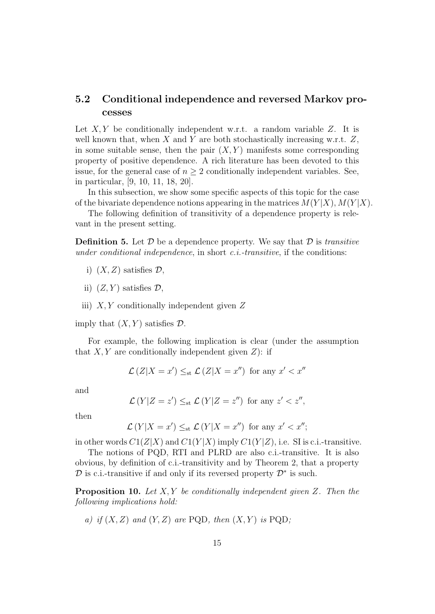#### 5.2 Conditional independence and reversed Markov processes

Let  $X, Y$  be conditionally independent w.r.t. a random variable Z. It is well known that, when  $X$  and  $Y$  are both stochastically increasing w.r.t.  $Z$ , in some suitable sense, then the pair  $(X, Y)$  manifests some corresponding property of positive dependence. A rich literature has been devoted to this issue, for the general case of  $n \geq 2$  conditionally independent variables. See, in particular, [9, 10, 11, 18, 20].

In this subsection, we show some specific aspects of this topic for the case of the bivariate dependence notions appearing in the matrices  $M(Y|X)$ ,  $M(Y|X)$ .

The following definition of transitivity of a dependence property is relevant in the present setting.

**Definition 5.** Let  $\mathcal{D}$  be a dependence property. We say that  $\mathcal{D}$  is transitive under conditional independence, in short  $c.i$ -transitive, if the conditions:

- i)  $(X, Z)$  satisfies  $\mathcal{D}$ ,
- ii)  $(Z, Y)$  satisfies  $\mathcal{D}$ ,
- iii)  $X, Y$  conditionally independent given  $Z$

imply that  $(X, Y)$  satisfies  $D$ .

For example, the following implication is clear (under the assumption that  $X, Y$  are conditionally independent given  $Z$ ): if

$$
\mathcal{L}(Z|X=x') \leq_{st} \mathcal{L}(Z|X=x'')
$$
 for any  $x' < x''$ 

and

$$
\mathcal{L}(Y|Z=z') \leq_{st} \mathcal{L}(Y|Z=z'') \text{ for any } z' < z'',
$$

then

$$
\mathcal{L}(Y|X=x') \leq_{\text{st}} \mathcal{L}(Y|X=x'') \text{ for any } x' < x'';
$$

in other words  $C1(Z|X)$  and  $C1(Y|X)$  imply  $C1(Y|Z)$ , i.e. SI is c.i.-transitive.

The notions of PQD, RTI and PLRD are also c.i.-transitive. It is also obvious, by definition of c.i.-transitivity and by Theorem 2, that a property  $\mathcal D$  is c.i.-transitive if and only if its reversed property  $\mathcal D^*$  is such.

**Proposition 10.** Let  $X, Y$  be conditionally independent given Z. Then the following implications hold:

a) if  $(X, Z)$  and  $(Y, Z)$  are PQD, then  $(X, Y)$  is PQD;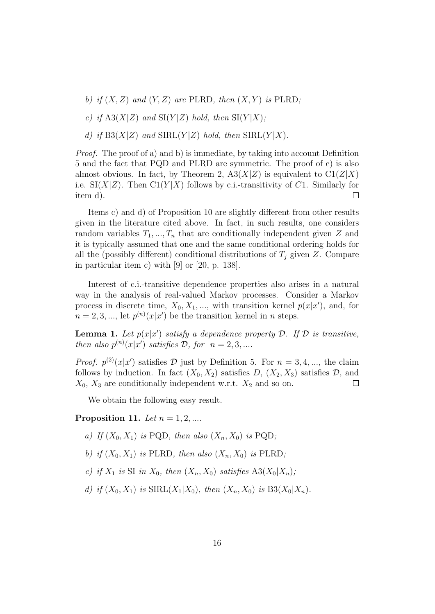- b) if  $(X, Z)$  and  $(Y, Z)$  are PLRD, then  $(X, Y)$  is PLRD;
- c) if  $A3(X|Z)$  and  $SI(Y|Z)$  hold, then  $SI(Y|X)$ ;
- d) if  $B3(X|Z)$  and  $SIRL(Y|Z)$  hold, then  $SIRL(Y|X)$ .

Proof. The proof of a) and b) is immediate, by taking into account Definition 5 and the fact that PQD and PLRD are symmetric. The proof of c) is also almost obvious. In fact, by Theorem 2,  $A3(X|Z)$  is equivalent to  $C1(Z|X)$ i.e.  $\text{SI}(X|Z)$ . Then  $\text{CI}(Y|X)$  follows by c.i.-transitivity of C1. Similarly for item d).  $\Box$ 

Items c) and d) of Proposition 10 are slightly different from other results given in the literature cited above. In fact, in such results, one considers random variables  $T_1, ..., T_n$  that are conditionally independent given Z and it is typically assumed that one and the same conditional ordering holds for all the (possibly different) conditional distributions of  $T_i$  given Z. Compare in particular item c) with [9] or [20, p. 138].

Interest of c.i.-transitive dependence properties also arises in a natural way in the analysis of real-valued Markov processes. Consider a Markov process in discrete time,  $X_0, X_1, \dots$ , with transition kernel  $p(x|x')$ , and, for  $n = 2, 3, \dots$ , let  $p^{(n)}(x|x')$  be the transition kernel in *n* steps.

**Lemma 1.** Let  $p(x|x')$  satisfy a dependence property  $D$ . If  $D$  is transitive, then also  $p^{(n)}(x|x')$  satisfies  $\mathcal{D}$ , for  $n = 2, 3, ...$ 

*Proof.*  $p^{(2)}(x|x')$  satisfies D just by Definition 5. For  $n = 3, 4, ...$ , the claim follows by induction. In fact  $(X_0, X_2)$  satisfies D,  $(X_2, X_3)$  satisfies D, and  $X_0$ ,  $X_3$  are conditionally independent w.r.t.  $X_2$  and so on.  $\Box$ 

We obtain the following easy result.

#### Proposition 11. Let  $n = 1, 2, \dots$

- a) If  $(X_0, X_1)$  is PQD, then also  $(X_n, X_0)$  is PQD;
- b) if  $(X_0, X_1)$  is PLRD, then also  $(X_n, X_0)$  is PLRD;
- c) if  $X_1$  is SI in  $X_0$ , then  $(X_n, X_0)$  satisfies  $A3(X_0|X_n)$ ;
- d) if  $(X_0, X_1)$  is  $SIRL(X_1|X_0)$ , then  $(X_n, X_0)$  is  $B3(X_0|X_n)$ .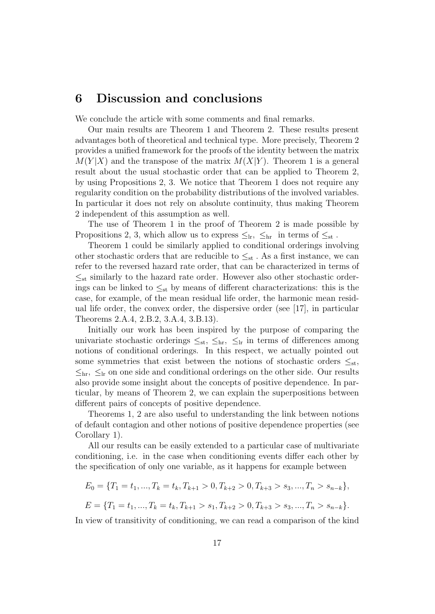### 6 Discussion and conclusions

We conclude the article with some comments and final remarks.

Our main results are Theorem 1 and Theorem 2. These results present advantages both of theoretical and technical type. More precisely, Theorem 2 provides a unified framework for the proofs of the identity between the matrix  $M(Y|X)$  and the transpose of the matrix  $M(X|Y)$ . Theorem 1 is a general result about the usual stochastic order that can be applied to Theorem 2, by using Propositions 2, 3. We notice that Theorem 1 does not require any regularity condition on the probability distributions of the involved variables. In particular it does not rely on absolute continuity, thus making Theorem 2 independent of this assumption as well.

The use of Theorem 1 in the proof of Theorem 2 is made possible by Propositions 2, 3, which allow us to express  $\leq_{lr}$ ,  $\leq_{hr}$  in terms of  $\leq_{st}$ .

Theorem 1 could be similarly applied to conditional orderings involving other stochastic orders that are reducible to  $\leq_{st}$ . As a first instance, we can refer to the reversed hazard rate order, that can be characterized in terms of  $\leq_{st}$  similarly to the hazard rate order. However also other stochastic orderings can be linked to  $\leq_{st}$  by means of different characterizations: this is the case, for example, of the mean residual life order, the harmonic mean residual life order, the convex order, the dispersive order (see [17], in particular Theorems 2.A.4, 2.B.2, 3.A.4, 3.B.13).

Initially our work has been inspired by the purpose of comparing the univariate stochastic orderings  $\leq_{st}$ ,  $\leq_{hr}$ ,  $\leq_{lr}$  in terms of differences among notions of conditional orderings. In this respect, we actually pointed out some symmetries that exist between the notions of stochastic orders  $\leq_{\text{st}}$ ,  $\leq_{hr}$ ,  $\leq_{lr}$  on one side and conditional orderings on the other side. Our results also provide some insight about the concepts of positive dependence. In particular, by means of Theorem 2, we can explain the superpositions between different pairs of concepts of positive dependence.

Theorems 1, 2 are also useful to understanding the link between notions of default contagion and other notions of positive dependence properties (see Corollary 1).

All our results can be easily extended to a particular case of multivariate conditioning, i.e. in the case when conditioning events differ each other by the specification of only one variable, as it happens for example between

$$
E_0 = \{T_1 = t_1, ..., T_k = t_k, T_{k+1} > 0, T_{k+2} > 0, T_{k+3} > s_3, ..., T_n > s_{n-k}\},\
$$

$$
E = \{T_1 = t_1, ..., T_k = t_k, T_{k+1} > s_1, T_{k+2} > 0, T_{k+3} > s_3, ..., T_n > s_{n-k}\}.
$$

In view of transitivity of conditioning, we can read a comparison of the kind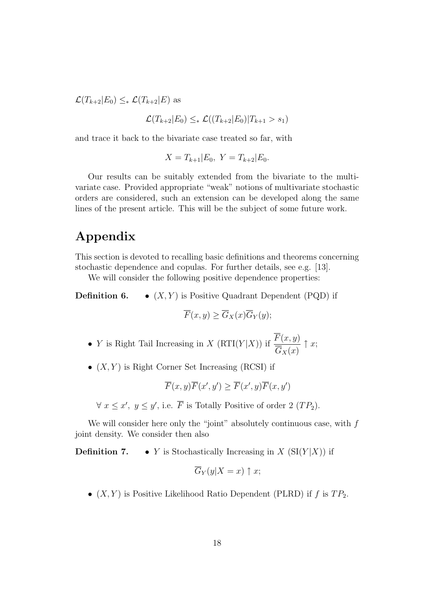$\mathcal{L}(T_{k+2}|E_0) \leq_* \mathcal{L}(T_{k+2}|E)$  as

$$
\mathcal{L}(T_{k+2}|E_0) \leq_* \mathcal{L}((T_{k+2}|E_0)|T_{k+1} > s_1)
$$

and trace it back to the bivariate case treated so far, with

$$
X = T_{k+1} | E_0, Y = T_{k+2} | E_0.
$$

Our results can be suitably extended from the bivariate to the multivariate case. Provided appropriate "weak" notions of multivariate stochastic orders are considered, such an extension can be developed along the same lines of the present article. This will be the subject of some future work.

## Appendix

This section is devoted to recalling basic definitions and theorems concerning stochastic dependence and copulas. For further details, see e.g. [13].

We will consider the following positive dependence properties:

**Definition 6.** •  $(X, Y)$  is Positive Quadrant Dependent (PQD) if

$$
\overline{F}(x,y) \ge \overline{G}_X(x)\overline{G}_Y(y);
$$

- Y is Right Tail Increasing in X (RTI(Y|X)) if  $\frac{F(x, y)}{\equiv}$  $G_X(x)$  $\uparrow x;$
- $(X, Y)$  is Right Corner Set Increasing (RCSI) if

$$
\overline{F}(x,y)\overline{F}(x',y')\geq \overline{F}(x',y)\overline{F}(x,y')
$$

 $\forall x \leq x', y \leq y'$ , i.e.  $\overline{F}$  is Totally Positive of order 2  $(TP_2)$ .

We will consider here only the "joint" absolutely continuous case, with  $f$ joint density. We consider then also

**Definition 7.** • Y is Stochastically Increasing in X  $(SI(Y|X))$  if

$$
\overline{G}_Y(y|X=x) \uparrow x;
$$

•  $(X, Y)$  is Positive Likelihood Ratio Dependent (PLRD) if f is  $TP_2$ .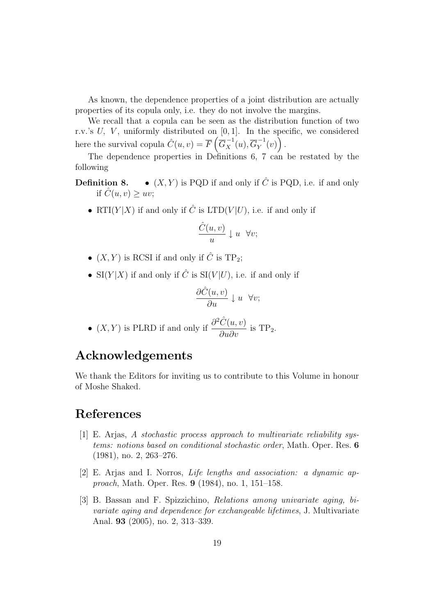As known, the dependence properties of a joint distribution are actually properties of its copula only, i.e. they do not involve the margins.

We recall that a copula can be seen as the distribution function of two r.v.'s  $U$ ,  $V$ , uniformly distributed on  $[0, 1]$ . In the specific, we considered here the survival copula  $\hat{C}(u, v) = \overline{F} \left( \overline{G}_X^{-1}(u), \overline{G}_Y^{-1} \right)$  $y^{-1}(v)\Big)$  .

The dependence properties in Definitions 6, 7 can be restated by the following

- **Definition 8.**  $(X, Y)$  is PQD if and only if  $\hat{C}$  is PQD, i.e. if and only if  $\hat{C}(u, v) \geq uv$ ;
	- RTI $(Y|X)$  if and only if  $\hat{C}$  is LTD $(V|U)$ , i.e. if and only if

$$
\frac{\hat{C}(u,v)}{u} \downarrow u \quad \forall v;
$$

- $(X, Y)$  is RCSI if and only if  $\hat{C}$  is TP<sub>2</sub>;
- SI(Y|X) if and only if  $\hat{C}$  is SI(V|U), i.e. if and only if

$$
\frac{\partial \hat{C}(u,v)}{\partial u} \downarrow u \ \ \forall v;
$$

•  $(X, Y)$  is PLRD if and only if  $\frac{\partial^2 \hat{C}(u, v)}{\partial x^2}$  $\frac{\partial(u,v)}{\partial u \partial v}$  is TP<sub>2</sub>.

## Acknowledgements

We thank the Editors for inviting us to contribute to this Volume in honour of Moshe Shaked.

# References

- [1] E. Arjas, A stochastic process approach to multivariate reliability systems: notions based on conditional stochastic order, Math. Oper. Res. 6 (1981), no. 2, 263–276.
- [2] E. Arjas and I. Norros, Life lengths and association: a dynamic approach, Math. Oper. Res. 9 (1984), no. 1, 151–158.
- [3] B. Bassan and F. Spizzichino, Relations among univariate aging, bivariate aging and dependence for exchangeable lifetimes, J. Multivariate Anal. 93 (2005), no. 2, 313–339.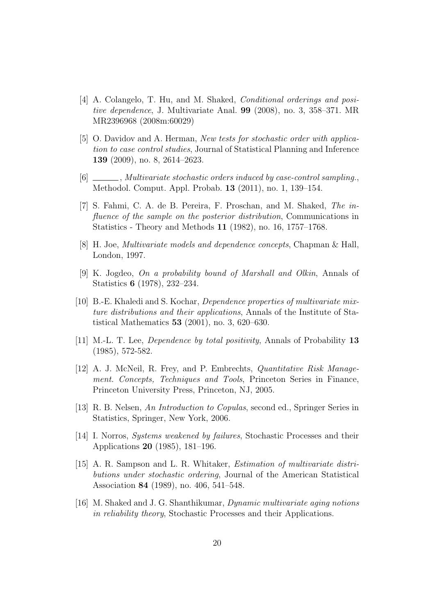- [4] A. Colangelo, T. Hu, and M. Shaked, Conditional orderings and positive dependence, J. Multivariate Anal. 99 (2008), no. 3, 358–371. MR MR2396968 (2008m:60029)
- [5] O. Davidov and A. Herman, New tests for stochastic order with application to case control studies, Journal of Statistical Planning and Inference 139 (2009), no. 8, 2614–2623.
- $[6]$   $\_\_\_\_\_\$ , Multivariate stochastic orders induced by case-control sampling. Methodol. Comput. Appl. Probab. 13 (2011), no. 1, 139–154.
- [7] S. Fahmi, C. A. de B. Pereira, F. Proschan, and M. Shaked, The influence of the sample on the posterior distribution, Communications in Statistics - Theory and Methods 11 (1982), no. 16, 1757–1768.
- [8] H. Joe, Multivariate models and dependence concepts, Chapman & Hall, London, 1997.
- [9] K. Jogdeo, On a probability bound of Marshall and Olkin, Annals of Statistics 6 (1978), 232–234.
- [10] B.-E. Khaledi and S. Kochar, Dependence properties of multivariate mixture distributions and their applications, Annals of the Institute of Statistical Mathematics 53 (2001), no. 3, 620–630.
- [11] M.-L. T. Lee, Dependence by total positivity, Annals of Probability 13 (1985), 572-582.
- [12] A. J. McNeil, R. Frey, and P. Embrechts, Quantitative Risk Management. Concepts, Techniques and Tools, Princeton Series in Finance, Princeton University Press, Princeton, NJ, 2005.
- [13] R. B. Nelsen, An Introduction to Copulas, second ed., Springer Series in Statistics, Springer, New York, 2006.
- [14] I. Norros, Systems weakened by failures, Stochastic Processes and their Applications 20 (1985), 181–196.
- [15] A. R. Sampson and L. R. Whitaker, Estimation of multivariate distributions under stochastic ordering, Journal of the American Statistical Association 84 (1989), no. 406, 541–548.
- [16] M. Shaked and J. G. Shanthikumar, Dynamic multivariate aging notions in reliability theory, Stochastic Processes and their Applications.